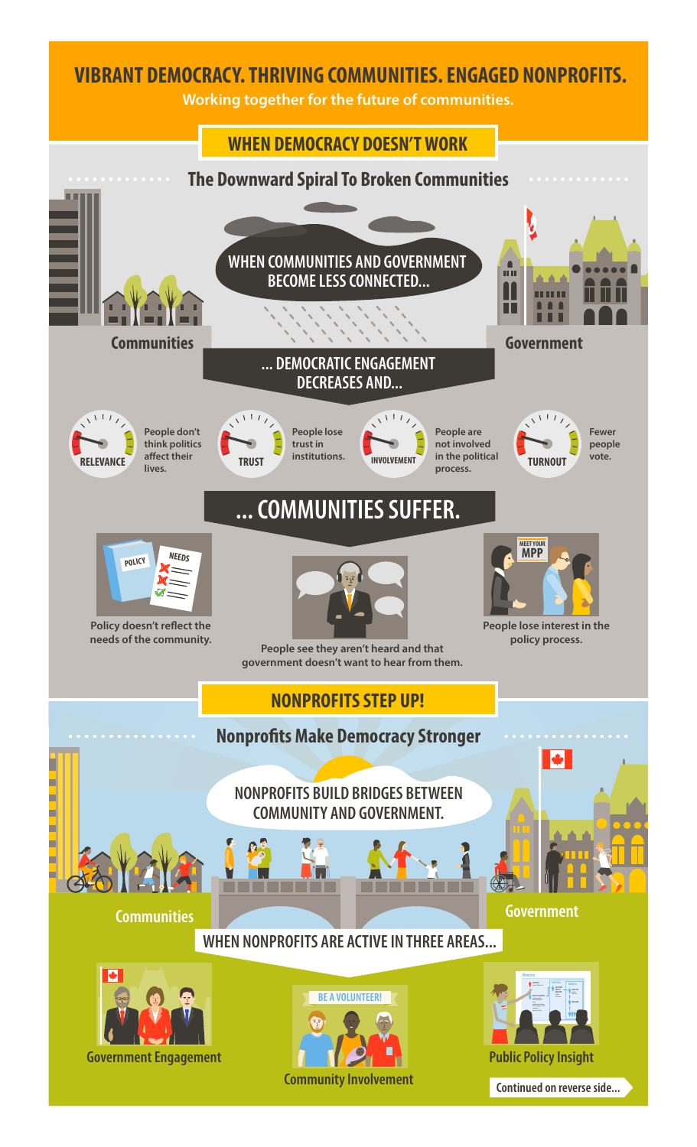# **VIBRANT DEMOCRACY. THRIVING COMMUNITIES. ENGAGED NONPROFITS.**

**Working together for the future of communities.**